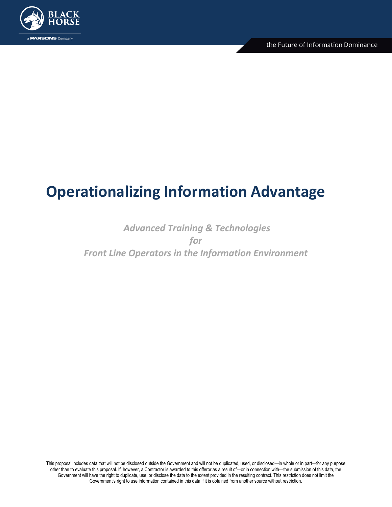

# **Operationalizing Information Advantage**

## *Advanced Training & Technologies for Front Line Operators in the Information Environment*

This proposal includes data that will not be disclosed outside the Government and will not be duplicated, used, or disclosed—in whole or in part—for any purpose other than to evaluate this proposal. If, however, a Contractor is awarded to this offeror as a result of—or in connection with—the submission of this data, the Government will have the right to duplicate, use, or disclose the data to the extent provided in the resulting contract. This restriction does not limit the Government's right to use information contained in this data if it is obtained from another source without restriction.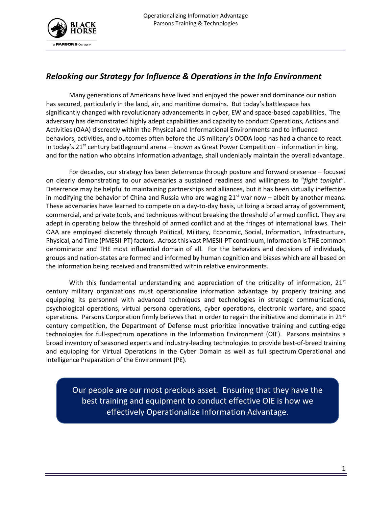

### *Relooking our Strategy for Influence & Operations in the Info Environment*

Many generations of Americans have lived and enjoyed the power and dominance our nation has secured, particularly in the land, air, and maritime domains. But today's battlespace has significantly changed with revolutionary advancements in cyber, EW and space-based capabilities. The adversary has demonstrated highly adept capabilities and capacity to conduct Operations, Actions and Activities (OAA) discreetly within the Physical and Informational Environments and to influence behaviors, activities, and outcomes often before the US military's OODA loop has had a chance to react. In today's  $21^{st}$  century battleground arena – known as Great Power Competition – information in king, and for the nation who obtains information advantage, shall undeniably maintain the overall advantage.

For decades, our strategy has been deterrence through posture and forward presence – focused on clearly demonstrating to our adversaries a sustained readiness and willingness to "*fight tonight*". Deterrence may be helpful to maintaining partnerships and alliances, but it has been virtually ineffective in modifying the behavior of China and Russia who are waging  $21<sup>st</sup>$  war now – albeit by another means. These adversaries have learned to compete on a day-to-day basis, utilizing a broad array of government, commercial, and private tools, and techniques without breaking the threshold of armed conflict. They are adept in operating below the threshold of armed conflict and at the fringes of international laws. Their OAA are employed discretely through Political, Military, Economic, Social, Information, Infrastructure, Physical, and Time (PMESII-PT) factors. Across this vast PMESII-PT continuum, Information is THE common denominator and THE most influential domain of all. For the behaviors and decisions of individuals, groups and nation-states are formed and informed by human cognition and biases which are all based on the information being received and transmitted within relative environments.

With this fundamental understanding and appreciation of the criticality of information,  $21<sup>st</sup>$ century military organizations must operationalize information advantage by properly training and equipping its personnel with advanced techniques and technologies in strategic communications, psychological operations, virtual persona operations, cyber operations, electronic warfare, and space operations. Parsons Corporation firmly believes that in order to regain the initiative and dominate in  $21^{st}$ century competition, the Department of Defense must prioritize innovative training and cutting-edge technologies for full-spectrum operations in the Information Environment (OIE). Parsons maintains a broad inventory of seasoned experts and industry-leading technologies to provide best-of-breed training and equipping for Virtual Operations in the Cyber Domain as well as full spectrum Operational and Intelligence Preparation of the Environment (PE).

Our people are our most precious asset. Ensuring that they have the best training and equipment to conduct effective OIE is how we effectively Operationalize Information Advantage.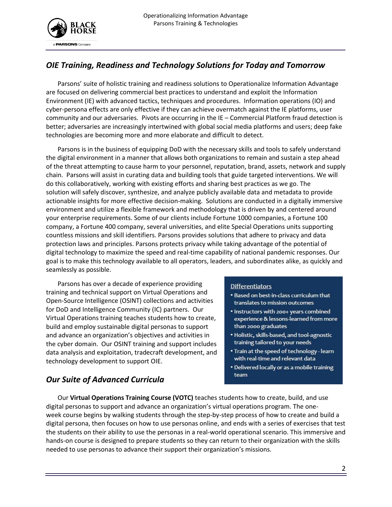

#### *OIE Training, Readiness and Technology Solutions for Today and Tomorrow*

Parsons' suite of holistic training and readiness solutions to Operationalize Information Advantage are focused on delivering commercial best practices to understand and exploit the Information Environment (IE) with advanced tactics, techniques and procedures. Information operations (IO) and cyber-persona effects are only effective if they can achieve overmatch against the IE platforms, user community and our adversaries. Pivots are occurring in the IE – Commercial Platform fraud detection is better; adversaries are increasingly intertwined with global social media platforms and users; deep fake technologies are becoming more and more elaborate and difficult to detect.

Parsons is in the business of equipping DoD with the necessary skills and tools to safely understand the digital environment in a manner that allows both organizations to remain and sustain a step ahead of the threat attempting to cause harm to your personnel, reputation, brand, assets, network and supply chain. Parsons will assist in curating data and building tools that guide targeted interventions. We will do this collaboratively, working with existing efforts and sharing best practices as we go. The solution will safely discover, synthesize, and analyze publicly available data and metadata to provide actionable insights for more effective decision-making. Solutions are conducted in a digitally immersive environment and utilize a flexible framework and methodology that is driven by and centered around your enterprise requirements. Some of our clients include Fortune 1000 companies, a Fortune 100 company, a Fortune 400 company, several universities, and elite Special Operations units supporting countless missions and skill identifiers. Parsons provides solutions that adhere to privacy and data protection laws and principles. Parsons protects privacy while taking advantage of the potential of digital technology to maximize the speed and real-time capability of national pandemic responses. Our goal is to make this technology available to all operators, leaders, and subordinates alike, as quickly and seamlessly as possible.

Parsons has over a decade of experience providing training and technical support on Virtual Operations and Open-Source Intelligence (OSINT) collections and activities for DoD and Intelligence Community (IC) partners. Our Virtual Operations training teaches students how to create, build and employ sustainable digital personas to support and advance an organization's objectives and activities in the cyber domain. Our OSINT training and support includes data analysis and exploitation, tradecraft development, and technology development to support OIE.

#### **Differentiators**

- . Based on best-in-class curriculum that translates to mission outcomes
- . Instructors with 200+ years combined experience & lessons-learned from more than 2000 graduates
- · Holistic, skills-based, and tool-agnostic training tailored to your needs
- Train at the speed of technology learn with real-time and relevant data
- Delivered locally or as a mobile training team

#### *Our Suite of Advanced Curricula*

Our **Virtual Operations Training Course (VOTC)** teaches students how to create, build, and use digital personas to support and advance an organization's virtual operations program. The oneweek course begins by walking students through the step-by-step process of how to create and build a digital persona, then focuses on how to use personas online, and ends with a series of exercises that test the students on their ability to use the personas in a real-world operational scenario. This immersive and hands-on course is designed to prepare students so they can return to their organization with the skills needed to use personas to advance their support their organization's missions.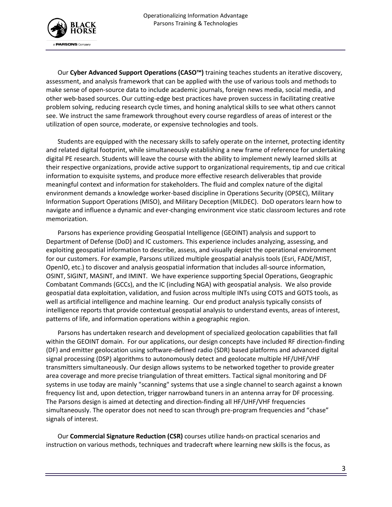

Our **Cyber Advanced Support Operations (CASO™)** training teaches students an iterative discovery, assessment, and analysis framework that can be applied with the use of various tools and methods to make sense of open-source data to include academic journals, foreign news media, social media, and other web-based sources. Our cutting-edge best practices have proven success in facilitating creative problem solving, reducing research cycle times, and honing analytical skills to see what others cannot see. We instruct the same framework throughout every course regardless of areas of interest or the utilization of open source, moderate, or expensive technologies and tools.

Students are equipped with the necessary skills to safely operate on the internet, protecting identity and related digital footprint, while simultaneously establishing a new frame of reference for undertaking digital PE research. Students will leave the course with the ability to implement newly learned skills at their respective organizations, provide active support to organizational requirements, tip and cue critical information to exquisite systems, and produce more effective research deliverables that provide meaningful context and information for stakeholders. The fluid and complex nature of the digital environment demands a knowledge worker-based discipline in Operations Security (OPSEC), Military Information Support Operations (MISO), and Military Deception (MILDEC). DoD operators learn how to navigate and influence a dynamic and ever-changing environment vice static classroom lectures and rote memorization.

Parsons has experience providing Geospatial Intelligence (GEOINT) analysis and support to Department of Defense (DoD) and IC customers. This experience includes analyzing, assessing, and exploiting geospatial information to describe, assess, and visually depict the operational environment for our customers. For example, Parsons utilized multiple geospatial analysis tools (Esri, FADE/MIST, OpenIO, etc.) to discover and analysis geospatial information that includes all-source information, OSINT, SIGINT, MASINT, and IMINT. We have experience supporting Special Operations, Geographic Combatant Commands (GCCs), and the IC (including NGA) with geospatial analysis. We also provide geospatial data exploitation, validation, and fusion across multiple INTs using COTS and GOTS tools, as well as artificial intelligence and machine learning. Our end product analysis typically consists of intelligence reports that provide contextual geospatial analysis to understand events, areas of interest, patterns of life, and information operations within a geographic region.

Parsons has undertaken research and development of specialized geolocation capabilities that fall within the GEOINT domain. For our applications, our design concepts have included RF direction-finding (DF) and emitter geolocation using software-defined radio (SDR) based platforms and advanced digital signal processing (DSP) algorithms to autonomously detect and geolocate multiple HF/UHF/VHF transmitters simultaneously. Our design allows systems to be networked together to provide greater area coverage and more precise triangulation of threat emitters. Tactical signal monitoring and DF systems in use today are mainly "scanning" systems that use a single channel to search against a known frequency list and, upon detection, trigger narrowband tuners in an antenna array for DF processing. The Parsons design is aimed at detecting and direction-finding all HF/UHF/VHF frequencies simultaneously. The operator does not need to scan through pre-program frequencies and "chase" signals of interest.

Our **Commercial Signature Reduction (CSR)** courses utilize hands-on practical scenarios and instruction on various methods, techniques and tradecraft where learning new skills is the focus, as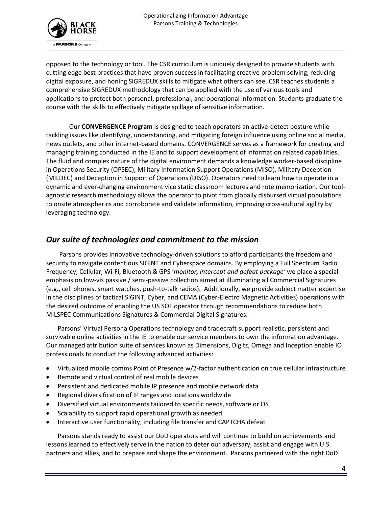

opposed to the technology or tool. The CSR curriculum is uniquely designed to provide students with cutting edge best practices that have proven success in facilitating creative problem solving, reducing digital exposure, and honing SIGREDUX skills to mitigate what others can see. CSR teaches students a comprehensive SIGREDUX methodology that can be applied with the use of various tools and applications to protect both personal, professional, and operational information. Students graduate the course with the skills to effectively mitigate spillage of sensitive information.

Our **CONVERGENCE Program** is designed to teach operators an active-detect posture while tackling issues like identifying, understanding, and mitigating foreign influence using online social media, news outlets, and other internet-based domains. CONVERGENCE serves as a framework for creating and managing training conducted in the IE and to support development of information related capabilities. The fluid and complex nature of the digital environment demands a knowledge worker-based discipline in Operations Security (OPSEC), Military Information Support Operations (MISO), Military Deception (MILDEC) and Deception in Support of Operations (DISO). Operators need to learn how to operate in a dynamic and ever-changing environment vice static classroom lectures and rote memorization. Our toolagnostic research methodology allows the operator to pivot from globally disbursed virtual populations to onsite atmospherics and corroborate and validate information, improving cross-cultural agility by leveraging technology.

#### *Our suite of technologies and commitment to the mission*

Parsons provides innovative technology-driven solutions to afford participants the freedom and security to navigate contentious SIGINT and Cyberspace domains. By employing a Full Spectrum Radio Frequency, Cellular, Wi-Fi, Bluetooth & GPS '*monitor, intercept and defeat package'* we place a special emphasis on low-vis passive / semi-passive collection aimed at illuminating all Commercial Signatures (e.g., cell phones, smart watches, push-to-talk radios). Additionally, we provide subject matter expertise in the disciplines of tactical SIGINT, Cyber, and CEMA (Cyber-Electro Magnetic Activities) operations with the desired outcome of enabling the US SOF operator through recommendations to reduce both MILSPEC Communications Signatures & Commercial Digital Signatures.

Parsons' Virtual Persona Operations technology and tradecraft support realistic, persistent and survivable online activities in the IE to enable our service members to own the information advantage. Our managed attribution suite of services known as Dimensions, Digitz, Omega and Inception enable IO professionals to conduct the following advanced activities:

- Virtualized mobile comms Point of Presence w/2-factor authentication on true cellular infrastructure
- Remote and virtual control of real mobile devices
- Persistent and dedicated mobile IP presence and mobile network data
- Regional diversification of IP ranges and locations worldwide
- Diversified virtual environments tailored to specific needs, software or OS
- Scalability to support rapid operational growth as needed
- Interactive user functionality, including file transfer and CAPTCHA defeat

Parsons stands ready to assist our DoD operators and will continue to build on achievements and lessons learned to effectively serve in the nation to deter our adversary, assist and engage with U.S. partners and allies, and to prepare and shape the environment. Parsons partnered with the right DoD